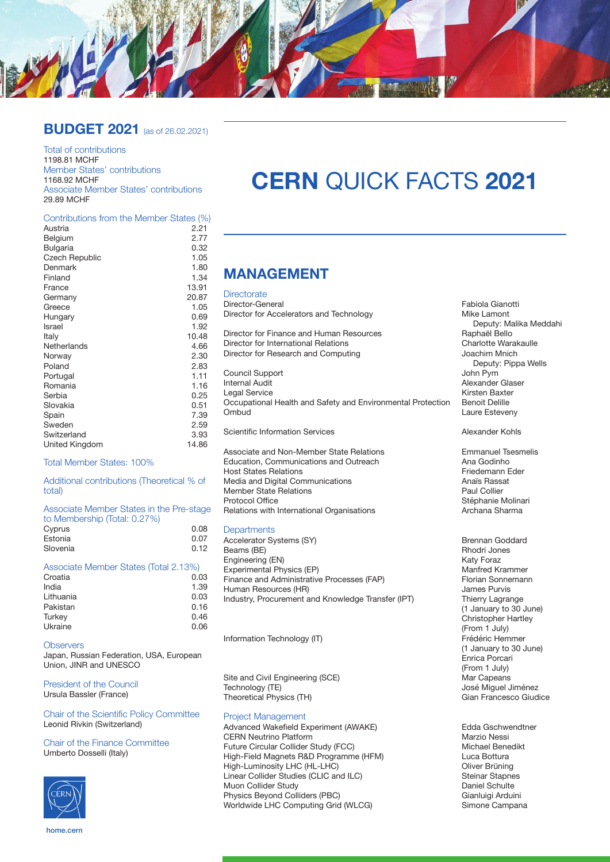

### **BUDGET 2021** (as of 26.02.2021)

Total of contributions 1198.81 MCHF Member States' contributions 1168.92 MCHF Associate Member States' contributions 29.89 MCHF

#### Contributions from the Member States (%)

| Austria               | 2.21  |
|-----------------------|-------|
| Belgium               | 2.77  |
| Bulgaria              | 0.32  |
| <b>Czech Republic</b> | 1.05  |
| Denmark               | 1.80  |
| Finland               | 1.34  |
| France                | 13.91 |
| Germany               | 20.87 |
| Greece                | 1.05  |
| Hungary               | 0.69  |
| Israel                | 1.92  |
| Italy                 | 10.48 |
| Netherlands           | 4.66  |
| Norway                | 2.30  |
| Poland                | 2.83  |
| Portugal              | 1.11  |
| Romania               | 1.16  |
| Serbia                | 0.25  |
| Slovakia              | 0.51  |
| Spain                 | 7.39  |
| Sweden                | 2.59  |
| Switzerland           | 3.93  |
| United Kingdom        | 14.86 |
|                       |       |

#### Total Member States: 100%

Additional contributions (Theoretical % of total)

| Associate Member States in the Pre-stage |      |
|------------------------------------------|------|
| to Membership (Total: 0.27%)             |      |
| Cyprus                                   | 0.08 |
| Estonia                                  | 0.07 |
| Slovenia                                 | 0.12 |

| Associate Member States (Total 2.13%) |      |
|---------------------------------------|------|
| Croatia                               | 0.03 |
| India                                 | 1.39 |
| Lithuania                             | 0.03 |
| Pakistan                              | 0.16 |
| Turkey                                | 0.46 |
| Ukraine                               | 0.06 |

#### **Observers**

Japan, Russian Federation, USA, European Union, JINR and UNESCO

President of the Council Ursula Bassler (France)

Chair of the Scientific Policy Committee Leonid Rivkin (Switzerland)

Chair of the Finance Committee Umberto Dosselli (Italy)



# **CERN** QUICK FACTS **2021**

### **MANAGEMENT**

#### **Directorate**

Director-General **Fabiola Gianotti**<br>
Director for Accelerators and Technology **Fabiola Gianotti**<br>
Mike Lamont Director for Accelerators and Technology

Director for Finance and Human Resources<br>
Director for International Relations<br>
Charlotte Warakaulle Director for International Relations<br>
Director for Research and Computing<br>
Joachim Mnich Director for Research and Computing

Council Support<br>Internal Audit Legal Service Kirsten Baxter Occupational Health and Safety and Environmental Protection Benoit Delille Ombud **Laure Esteveny** 

Scientific Information Services Alexander Kohls

Associate and Non-Member State Relations<br>
Education Communications and Outreach<br>
Ana Godinho Education, Communications and Outreach **Ana Godinho**<br>
Host States Relations<br>
Friedemann Eder Host States Relations<br>
Media and Digital Communications<br>
Anaïs Bassat Media and Digital Communications<br>Member State Relations Anaïs Rassations Anaïs Rassations Member State Relations<br>Protocol Office Relations with International Organisations

#### **Departments**

Accelerator Systems (SY) and the Systems (SY) Brennan Goddard<br>Beams (BF) Brennan Goddard Beams (BF) Beams (BE) <br>
Beams (BE) Rhodri Jones (EN) Rhodri Jones (EN) Rhodri Jones (EN) Rhodri Jones (EN) Registered (EN) Rhodri Jon Engineering (EN) <br>Experimental Physics (EP) Experimental Physics (EP) and the Control of the Manfred Krammer Experimental Physics (EP) **Manfred Krammer**<br>
Finance and Administrative Processes (FAP) **Elorian Sonnemann** Finance and Administrative Processes (FAP) Florian Sonne<br>Human Resources (HR) Florian Sonnes Purvis Human Resources (HR)<br>
Industry, Procurement and Knowledge Transfer (IPT) Thierry Lagrange Industry, Procurement and Knowledge Transfer (IPT)

Information Technology (IT)

Site and Civil Engineering (SCE)<br>Technology (TE) Theoretical Physics (TH)

#### Project Management

Advanced Wakefield Experiment (AWAKE) Edda Gschwendtner CERN Neutrino Platform<br>
Future Circular Collider Study (FCC)<br>
Michael Benedikt Future Circular Collider Study (FCC)<br>High-Field Magnets R&D Programme (HFM) Michael Benedikt Luca Bottura High-Field Magnets R&D Programme (HFM) Luca Bottura High-Luminosity LHC (HL-LHC)<br>
Linear Collider Studies (CLIC and ILC) 
Steinar Stapnes Linear Collider Studies (CLIC and ILC) <br>Muon Collider Study Study Steinar Stapne Muon Collider Study<br>
Physics Beyond Colliders (PBC)<br>
Physics Beyond Colliders (PBC) Physics Beyond Colliders (PBC)<br>
Worldwide LHC Computing Grid (WLCG) Gianne Campana Compana Worldwide LHC Computing Grid (WLCG)

Deputy: Malika Meddahi<br>Raphaël Bello Deputy: Pippa Wells<br>John Pym Alexander Glaser

Stéphanie Molinari<br>Archana Sharma

(1 January to 30 June) Christopher Hartley (From 1 July)<br>Frédéric Hemmer (1 January to 30 June) Enrica Porcari (From 1 July)<br>Mar Capeans José Miguel Jiménez<br>Gian Francesco Giudice

home.cern